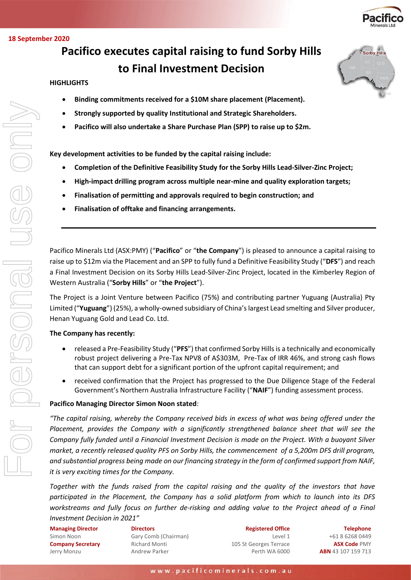

Sorby Hills

#### **18 September 2020**

# **Pacifico executes capital raising to fund Sorby Hills to Final Investment Decision**

### **HIGHLIGHTS**

- **Binding commitments received for a \$10M share placement (Placement).**
- **Strongly supported by quality Institutional and Strategic Shareholders.**
- **Pacifico will also undertake a Share Purchase Plan (SPP) to raise up to \$2m.**

**Key development activities to be funded by the capital raising include:**

- **Completion of the Definitive Feasibility Study for the Sorby Hills Lead-Silver-Zinc Project;**
- **High-impact drilling program across multiple near-mine and quality exploration targets;**
- **Finalisation of permitting and approvals required to begin construction; and**
- **Finalisation of offtake and financing arrangements.**

Pacifico Minerals Ltd (ASX:PMY) ("**Pacifico**" or "**the Company**") is pleased to announce a capital raising to raise up to \$12m via the Placement and an SPP to fully fund a Definitive Feasibility Study ("**DFS**") and reach a Final Investment Decision on its Sorby Hills Lead-Silver-Zinc Project, located in the Kimberley Region of Western Australia ("**Sorby Hills**" or "**the Project**").

The Project is a Joint Venture between Pacifico (75%) and contributing partner Yuguang (Australia) Pty Limited ("**Yuguang**") (25%), a wholly-owned subsidiary of China's largest Lead smelting and Silver producer, Henan Yuguang Gold and Lead Co. Ltd.

#### **The Company has recently:**

- released a Pre-Feasibility Study ("**PFS**") that confirmed Sorby Hills is a technically and economically robust project delivering a Pre-Tax NPV8 of A\$303M, Pre-Tax of IRR 46%, and strong cash flows that can support debt for a significant portion of the upfront capital requirement; and
- received confirmation that the Project has progressed to the Due Diligence Stage of the Federal Government's Northern Australia Infrastructure Facility ("**NAIF**") funding assessment process.

#### **Pacifico Managing Director Simon Noon stated**:

*"The capital raising, whereby the Company received bids in excess of what was being offered under the Placement, provides the Company with a significantly strengthened balance sheet that will see the Company fully funded until a Financial Investment Decision is made on the Project. With a buoyant Silver market, a recently released quality PFS on Sorby Hills, the commencement of a 5,200m DFS drill program, and substantial progress being made on our financing strategy in the form of confirmed support from NAIF, it is very exciting times for the Company.* 

*Together with the funds raised from the capital raising and the quality of the investors that have participated in the Placement, the Company has a solid platform from which to launch into its DFS workstreams and fully focus on further de-risking and adding value to the Project ahead of a Final Investment Decision in 2021"*

**Managing Director** Simon Noon **Company Secretary** Jerry Monzu

**Directors** Gary Comb (Chairman) Richard Monti Andrew Parker

**Registered Office** Level 1 105 St Georges Terrace Perth WA 6000

**Telephone** +61 8 6268 0449 **ASX Code** PMY **ABN** 43 107 159 713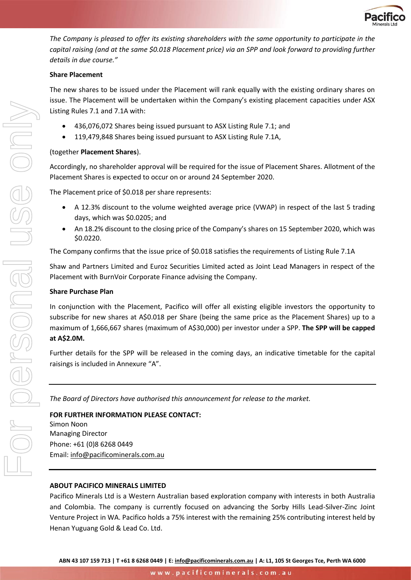

*The Company is pleased to offer its existing shareholders with the same opportunity to participate in the capital raising (and at the same \$0.018 Placement price) via an SPP and look forward to providing further details in due course."*

## **Share Placement**

The new shares to be issued under the Placement will rank equally with the existing ordinary shares on issue. The Placement will be undertaken within the Company's existing placement capacities under ASX Listing Rules 7.1 and 7.1A with:

- 436,076,072 Shares being issued pursuant to ASX Listing Rule 7.1; and
- 119,479,848 Shares being issued pursuant to ASX Listing Rule 7.1A,

## (together **Placement Shares**).

Accordingly, no shareholder approval will be required for the issue of Placement Shares. Allotment of the Placement Shares is expected to occur on or around 24 September 2020.

The Placement price of \$0.018 per share represents:

- A 12.3% discount to the volume weighted average price (VWAP) in respect of the last 5 trading days, which was \$0.0205; and
- An 18.2% discount to the closing price of the Company's shares on 15 September 2020, which was \$0.0220.

The Company confirms that the issue price of \$0.018 satisfies the requirements of Listing Rule 7.1A

Shaw and Partners Limited and Euroz Securities Limited acted as Joint Lead Managers in respect of the Placement with BurnVoir Corporate Finance advising the Company.

## **Share Purchase Plan**

In conjunction with the Placement, Pacifico will offer all existing eligible investors the opportunity to subscribe for new shares at A\$0.018 per Share (being the same price as the Placement Shares) up to a maximum of 1,666,667 shares (maximum of A\$30,000) per investor under a SPP. **The SPP will be capped at A\$2.0M.** 

Further details for the SPP will be released in the coming days, an indicative timetable for the capital raisings is included in Annexure "A".

*The Board of Directors have authorised this announcement for release to the market.*

## **FOR FURTHER INFORMATION PLEASE CONTACT:**

Simon Noon Managing Director Phone: +61 (0)8 6268 0449 Email: [info@pacificominerals.com.au](mailto:info@pacificominerals.com.au)

## **ABOUT PACIFICO MINERALS LIMITED**

Pacifico Minerals Ltd is a Western Australian based exploration company with interests in both Australia and Colombia. The company is currently focused on advancing the Sorby Hills Lead-Silver-Zinc Joint Venture Project in WA. Pacifico holds a 75% interest with the remaining 25% contributing interest held by Henan Yuguang Gold & Lead Co. Ltd.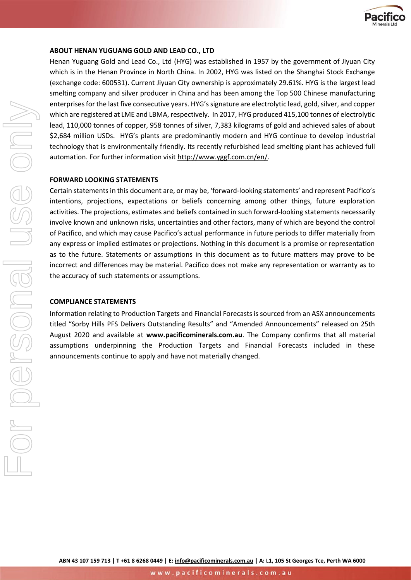

### **ABOUT HENAN YUGUANG GOLD AND LEAD CO., LTD**

Henan Yuguang Gold and Lead Co., Ltd (HYG) was established in 1957 by the government of Jiyuan City which is in the Henan Province in North China. In 2002, HYG was listed on the Shanghai Stock Exchange (exchange code: 600531). Current Jiyuan City ownership is approximately 29.61%. HYG is the largest lead smelting company and silver producer in China and has been among the Top 500 Chinese manufacturing enterprises for the last five consecutive years. HYG's signature are electrolytic lead, gold, silver, and copper which are registered at LME and LBMA, respectively. In 2017, HYG produced 415,100 tonnes of electrolytic lead, 110,000 tonnes of copper, 958 tonnes of silver, 7,383 kilograms of gold and achieved sales of about \$2,684 million USDs. HYG's plants are predominantly modern and HYG continue to develop industrial technology that is environmentally friendly. Its recently refurbished lead smelting plant has achieved full automation. For further information visit http://www.yggf.com.cn/en/.

#### **FORWARD LOOKING STATEMENTS**

Certain statements in this document are, or may be, 'forward-looking statements' and represent Pacifico's intentions, projections, expectations or beliefs concerning among other things, future exploration activities. The projections, estimates and beliefs contained in such forward-looking statements necessarily involve known and unknown risks, uncertainties and other factors, many of which are beyond the control of Pacifico, and which may cause Pacifico's actual performance in future periods to differ materially from any express or implied estimates or projections. Nothing in this document is a promise or representation as to the future. Statements or assumptions in this document as to future matters may prove to be incorrect and differences may be material. Pacifico does not make any representation or warranty as to the accuracy of such statements or assumptions.

#### **COMPLIANCE STATEMENTS**

Information relating to Production Targets and Financial Forecasts is sourced from an ASX announcements titled "[Sorby Hills PFS Delivers Outstanding Results](https://stocknessmonster.com/announcements/pmy.asx-6A992692/)" and "Amended Announcements" released on 25th August 2020 and available at **[www.pacificominerals.com.au](http://www.pacificominerals.com.au/)**. The Company confirms that all material assumptions underpinning the Production Targets and Financial Forecasts included in these announcements continue to apply and have not materially changed.